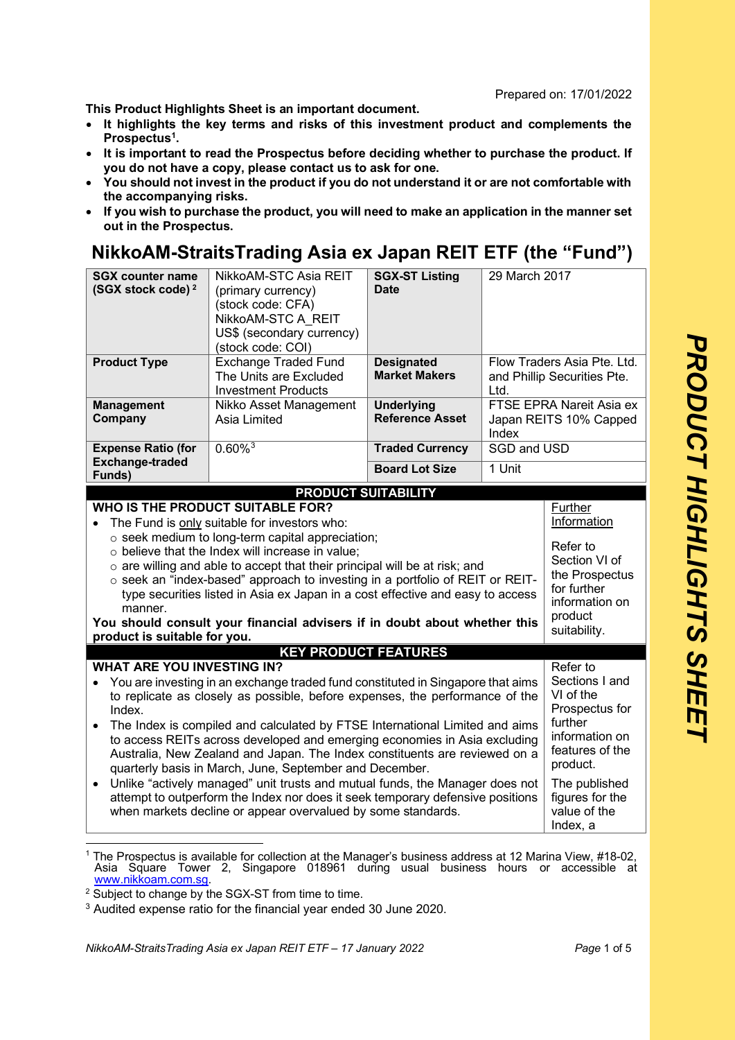Prepared on: 17/01/2022

**This Product Highlights Sheet is an important document.** 

- **It highlights the key terms and risks of this investment product and complements the Prospectus[1.](#page-0-0)**
- **It is important to read the Prospectus before deciding whether to purchase the product. If you do not have a copy, please contact us to ask for one.**
- **You should not invest in the product if you do not understand it or are not comfortable with the accompanying risks.**
- **If you wish to purchase the product, you will need to make an application in the manner set out in the Prospectus.**

## **NikkoAM-StraitsTrading Asia ex Japan REIT ETF (the "Fund")**

| <b>SGX counter name</b><br>(SGX stock code) <sup>2</sup><br><b>Product Type</b>                                                                                                                                                                                                                                                                                                                                                                                                                                                                                                                                                                                                                                                                                                            | NikkoAM-STC Asia REIT<br>(primary currency)<br>(stock code: CFA)<br>NikkoAM-STC A REIT<br>US\$ (secondary currency)<br>(stock code: COI)<br><b>Exchange Traded Fund</b><br>The Units are Excluded | <b>SGX-ST Listing</b><br>Date<br><b>Designated</b><br><b>Market Makers</b> | 29 March 2017                                                                                                             | Flow Traders Asia Pte. Ltd.<br>and Phillip Securities Pte.                                                                        |
|--------------------------------------------------------------------------------------------------------------------------------------------------------------------------------------------------------------------------------------------------------------------------------------------------------------------------------------------------------------------------------------------------------------------------------------------------------------------------------------------------------------------------------------------------------------------------------------------------------------------------------------------------------------------------------------------------------------------------------------------------------------------------------------------|---------------------------------------------------------------------------------------------------------------------------------------------------------------------------------------------------|----------------------------------------------------------------------------|---------------------------------------------------------------------------------------------------------------------------|-----------------------------------------------------------------------------------------------------------------------------------|
|                                                                                                                                                                                                                                                                                                                                                                                                                                                                                                                                                                                                                                                                                                                                                                                            | <b>Investment Products</b>                                                                                                                                                                        |                                                                            | Ltd.                                                                                                                      |                                                                                                                                   |
| <b>Management</b><br>Company                                                                                                                                                                                                                                                                                                                                                                                                                                                                                                                                                                                                                                                                                                                                                               | Nikko Asset Management<br>Asia Limited                                                                                                                                                            | <b>Underlying</b><br><b>Reference Asset</b>                                | Index                                                                                                                     | FTSE EPRA Nareit Asia ex<br>Japan REITS 10% Capped                                                                                |
| <b>Expense Ratio (for</b><br><b>Exchange-traded</b>                                                                                                                                                                                                                                                                                                                                                                                                                                                                                                                                                                                                                                                                                                                                        | $0.60\%$ <sup>3</sup>                                                                                                                                                                             | <b>Traded Currency</b>                                                     | <b>SGD and USD</b>                                                                                                        |                                                                                                                                   |
| Funds)                                                                                                                                                                                                                                                                                                                                                                                                                                                                                                                                                                                                                                                                                                                                                                                     |                                                                                                                                                                                                   | <b>Board Lot Size</b>                                                      | 1 Unit                                                                                                                    |                                                                                                                                   |
|                                                                                                                                                                                                                                                                                                                                                                                                                                                                                                                                                                                                                                                                                                                                                                                            | <b>PRODUCT SUITABILITY</b>                                                                                                                                                                        |                                                                            |                                                                                                                           |                                                                                                                                   |
| <b>WHO IS THE PRODUCT SUITABLE FOR?</b><br>The Fund is only suitable for investors who:<br>$\bullet$<br>o seek medium to long-term capital appreciation;<br>o believe that the Index will increase in value;<br>$\circ$ are willing and able to accept that their principal will be at risk; and<br>o seek an "index-based" approach to investing in a portfolio of REIT or REIT-<br>type securities listed in Asia ex Japan in a cost effective and easy to access<br>manner.<br>You should consult your financial advisers if in doubt about whether this<br>product is suitable for you.                                                                                                                                                                                                |                                                                                                                                                                                                   |                                                                            |                                                                                                                           | Further<br>Information<br>Refer to<br>Section VI of<br>the Prospectus<br>for further<br>information on<br>product<br>suitability. |
| <b>WHAT ARE YOU INVESTING IN?</b>                                                                                                                                                                                                                                                                                                                                                                                                                                                                                                                                                                                                                                                                                                                                                          | <b>KEY PRODUCT FEATURES</b>                                                                                                                                                                       |                                                                            |                                                                                                                           | Refer to                                                                                                                          |
| You are investing in an exchange traded fund constituted in Singapore that aims<br>$\bullet$<br>VI of the<br>to replicate as closely as possible, before expenses, the performance of the<br>Index.<br>further<br>The Index is compiled and calculated by FTSE International Limited and aims<br>to access REITs across developed and emerging economies in Asia excluding<br>Australia, New Zealand and Japan. The Index constituents are reviewed on a<br>product.<br>quarterly basis in March, June, September and December.<br>Unlike "actively managed" unit trusts and mutual funds, the Manager does not<br>$\bullet$<br>attempt to outperform the Index nor does it seek temporary defensive positions<br>when markets decline or appear overvalued by some standards.<br>Index, a |                                                                                                                                                                                                   |                                                                            | Sections I and<br>Prospectus for<br>information on<br>features of the<br>The published<br>figures for the<br>value of the |                                                                                                                                   |

<span id="page-0-0"></span> $1$  The Prospectus is available for collection at the Manager's business address at 12 Marina View, #18-02, Asia Square Tower 2, Singapore 018961 during usual business hours or accessible at www.nikkoam.com.sg.

<span id="page-0-1"></span><sup>2</sup> Subject to change by the SGX-ST from time to time.

<span id="page-0-2"></span><sup>3</sup> Audited expense ratio for the financial year ended 30 June 2020.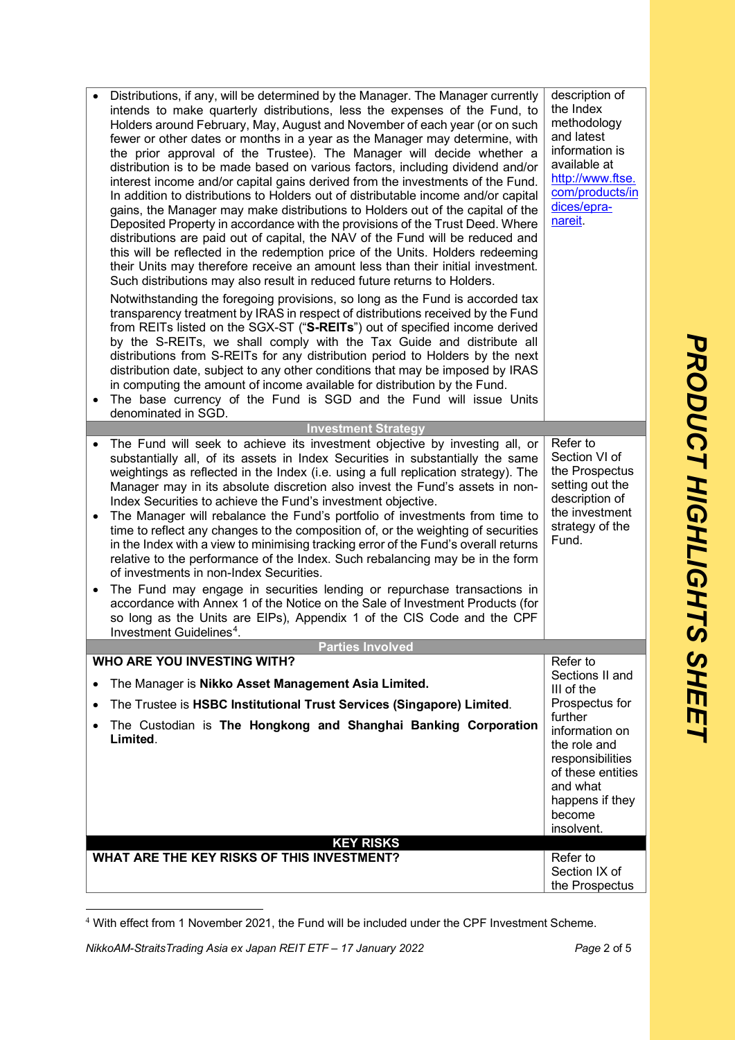|                        | Distributions, if any, will be determined by the Manager. The Manager currently<br>intends to make quarterly distributions, less the expenses of the Fund, to<br>Holders around February, May, August and November of each year (or on such<br>fewer or other dates or months in a year as the Manager may determine, with<br>the prior approval of the Trustee). The Manager will decide whether a<br>distribution is to be made based on various factors, including dividend and/or<br>interest income and/or capital gains derived from the investments of the Fund.<br>In addition to distributions to Holders out of distributable income and/or capital<br>gains, the Manager may make distributions to Holders out of the capital of the<br>Deposited Property in accordance with the provisions of the Trust Deed. Where<br>distributions are paid out of capital, the NAV of the Fund will be reduced and<br>this will be reflected in the redemption price of the Units. Holders redeeming<br>their Units may therefore receive an amount less than their initial investment.<br>Such distributions may also result in reduced future returns to Holders.<br>Notwithstanding the foregoing provisions, so long as the Fund is accorded tax<br>transparency treatment by IRAS in respect of distributions received by the Fund<br>from REITs listed on the SGX-ST ("S-REITs") out of specified income derived<br>by the S-REITs, we shall comply with the Tax Guide and distribute all<br>distributions from S-REITs for any distribution period to Holders by the next<br>distribution date, subject to any other conditions that may be imposed by IRAS<br>in computing the amount of income available for distribution by the Fund.<br>The base currency of the Fund is SGD and the Fund will issue Units<br>denominated in SGD. | description of<br>the Index<br>methodology<br>and latest<br>information is<br>available at<br>http://www.ftse.<br>com/products/in<br>dices/epra-<br>nareit.                                              |
|------------------------|----------------------------------------------------------------------------------------------------------------------------------------------------------------------------------------------------------------------------------------------------------------------------------------------------------------------------------------------------------------------------------------------------------------------------------------------------------------------------------------------------------------------------------------------------------------------------------------------------------------------------------------------------------------------------------------------------------------------------------------------------------------------------------------------------------------------------------------------------------------------------------------------------------------------------------------------------------------------------------------------------------------------------------------------------------------------------------------------------------------------------------------------------------------------------------------------------------------------------------------------------------------------------------------------------------------------------------------------------------------------------------------------------------------------------------------------------------------------------------------------------------------------------------------------------------------------------------------------------------------------------------------------------------------------------------------------------------------------------------------------------------------------------------------------------------------------------------------------|----------------------------------------------------------------------------------------------------------------------------------------------------------------------------------------------------------|
|                        | <b>Investment Strategy</b>                                                                                                                                                                                                                                                                                                                                                                                                                                                                                                                                                                                                                                                                                                                                                                                                                                                                                                                                                                                                                                                                                                                                                                                                                                                                                                                                                                                                                                                                                                                                                                                                                                                                                                                                                                                                                   |                                                                                                                                                                                                          |
| $\bullet$<br>$\bullet$ | The Fund will seek to achieve its investment objective by investing all, or<br>substantially all, of its assets in Index Securities in substantially the same<br>weightings as reflected in the Index (i.e. using a full replication strategy). The<br>Manager may in its absolute discretion also invest the Fund's assets in non-<br>Index Securities to achieve the Fund's investment objective.<br>The Manager will rebalance the Fund's portfolio of investments from time to<br>time to reflect any changes to the composition of, or the weighting of securities<br>in the Index with a view to minimising tracking error of the Fund's overall returns<br>relative to the performance of the Index. Such rebalancing may be in the form<br>of investments in non-Index Securities.<br>The Fund may engage in securities lending or repurchase transactions in<br>accordance with Annex 1 of the Notice on the Sale of Investment Products (for<br>so long as the Units are EIPs), Appendix 1 of the CIS Code and the CPF<br>Investment Guidelines <sup>4</sup> .                                                                                                                                                                                                                                                                                                                                                                                                                                                                                                                                                                                                                                                                                                                                                                     | Refer to<br>Section VI of<br>the Prospectus<br>setting out the<br>description of<br>the investment<br>strategy of the<br>Fund.                                                                           |
|                        | <b>Parties Involved</b>                                                                                                                                                                                                                                                                                                                                                                                                                                                                                                                                                                                                                                                                                                                                                                                                                                                                                                                                                                                                                                                                                                                                                                                                                                                                                                                                                                                                                                                                                                                                                                                                                                                                                                                                                                                                                      |                                                                                                                                                                                                          |
| $\bullet$              | <b>WHO ARE YOU INVESTING WITH?</b><br>The Manager is Nikko Asset Management Asia Limited.<br>The Trustee is HSBC Institutional Trust Services (Singapore) Limited.<br>The Custodian is The Hongkong and Shanghai Banking Corporation<br>Limited.                                                                                                                                                                                                                                                                                                                                                                                                                                                                                                                                                                                                                                                                                                                                                                                                                                                                                                                                                                                                                                                                                                                                                                                                                                                                                                                                                                                                                                                                                                                                                                                             | Refer to<br>Sections II and<br>III of the<br>Prospectus for<br>further<br>information on<br>the role and<br>responsibilities<br>of these entities<br>and what<br>happens if they<br>become<br>insolvent. |
|                        | <b>KEY RISKS</b><br>WHAT ARE THE KEY RISKS OF THIS INVESTMENT?                                                                                                                                                                                                                                                                                                                                                                                                                                                                                                                                                                                                                                                                                                                                                                                                                                                                                                                                                                                                                                                                                                                                                                                                                                                                                                                                                                                                                                                                                                                                                                                                                                                                                                                                                                               | Refer to                                                                                                                                                                                                 |
|                        |                                                                                                                                                                                                                                                                                                                                                                                                                                                                                                                                                                                                                                                                                                                                                                                                                                                                                                                                                                                                                                                                                                                                                                                                                                                                                                                                                                                                                                                                                                                                                                                                                                                                                                                                                                                                                                              | Section IX of<br>the Prospectus                                                                                                                                                                          |

<span id="page-1-0"></span><sup>4</sup> With effect from 1 November 2021, the Fund will be included under the CPF Investment Scheme.

*NikkoAM-StraitsTrading Asia ex Japan REIT ETF – 17 January 2022 Page* 2 of 5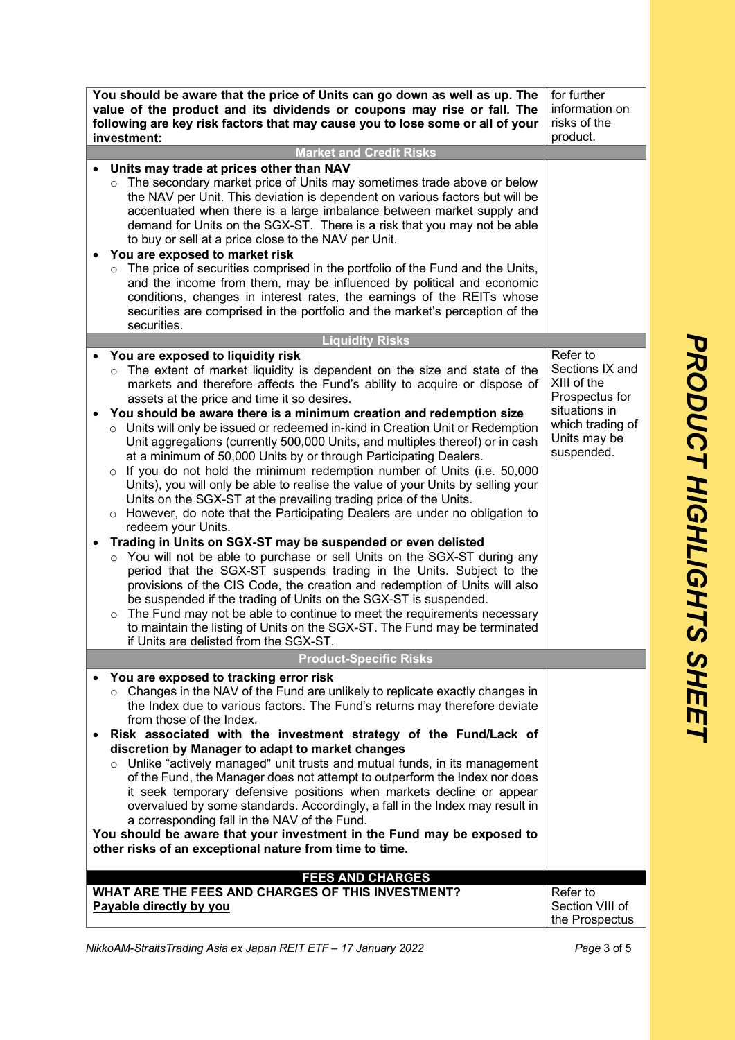| You should be aware that the price of Units can go down as well as up. The<br>for further<br>value of the product and its dividends or coupons may rise or fall. The<br>information on<br>risks of the<br>following are key risk factors that may cause you to lose some or all of your<br>product.<br>investment:                                                                                                                                                                                                                                                                                                                                                                                                                                                                                                                                                                      |                                                                                                                                 |  |  |
|-----------------------------------------------------------------------------------------------------------------------------------------------------------------------------------------------------------------------------------------------------------------------------------------------------------------------------------------------------------------------------------------------------------------------------------------------------------------------------------------------------------------------------------------------------------------------------------------------------------------------------------------------------------------------------------------------------------------------------------------------------------------------------------------------------------------------------------------------------------------------------------------|---------------------------------------------------------------------------------------------------------------------------------|--|--|
| <b>Market and Credit Risks</b>                                                                                                                                                                                                                                                                                                                                                                                                                                                                                                                                                                                                                                                                                                                                                                                                                                                          |                                                                                                                                 |  |  |
| Units may trade at prices other than NAV<br>The secondary market price of Units may sometimes trade above or below<br>$\circ$<br>the NAV per Unit. This deviation is dependent on various factors but will be<br>accentuated when there is a large imbalance between market supply and<br>demand for Units on the SGX-ST. There is a risk that you may not be able<br>to buy or sell at a price close to the NAV per Unit.<br>You are exposed to market risk                                                                                                                                                                                                                                                                                                                                                                                                                            |                                                                                                                                 |  |  |
| The price of securities comprised in the portfolio of the Fund and the Units,<br>and the income from them, may be influenced by political and economic<br>conditions, changes in interest rates, the earnings of the REITs whose<br>securities are comprised in the portfolio and the market's perception of the<br>securities.                                                                                                                                                                                                                                                                                                                                                                                                                                                                                                                                                         |                                                                                                                                 |  |  |
| <b>Liquidity Risks</b>                                                                                                                                                                                                                                                                                                                                                                                                                                                                                                                                                                                                                                                                                                                                                                                                                                                                  |                                                                                                                                 |  |  |
| You are exposed to liquidity risk<br>The extent of market liquidity is dependent on the size and state of the<br>$\circ$<br>markets and therefore affects the Fund's ability to acquire or dispose of<br>assets at the price and time it so desires.<br>You should be aware there is a minimum creation and redemption size<br>$\circ$ Units will only be issued or redeemed in-kind in Creation Unit or Redemption<br>Unit aggregations (currently 500,000 Units, and multiples thereof) or in cash<br>at a minimum of 50,000 Units by or through Participating Dealers.<br>$\circ$ If you do not hold the minimum redemption number of Units (i.e. 50,000<br>Units), you will only be able to realise the value of your Units by selling your<br>Units on the SGX-ST at the prevailing trading price of the Units.                                                                    | Refer to<br>Sections IX and<br>XIII of the<br>Prospectus for<br>situations in<br>which trading of<br>Units may be<br>suspended. |  |  |
| However, do note that the Participating Dealers are under no obligation to<br>$\circ$<br>redeem your Units.<br>Trading in Units on SGX-ST may be suspended or even delisted<br>$\bullet$<br>You will not be able to purchase or sell Units on the SGX-ST during any<br>$\circ$<br>period that the SGX-ST suspends trading in the Units. Subject to the<br>provisions of the CIS Code, the creation and redemption of Units will also<br>be suspended if the trading of Units on the SGX-ST is suspended.<br>The Fund may not be able to continue to meet the requirements necessary<br>$\circ$<br>to maintain the listing of Units on the SGX-ST. The Fund may be terminated<br>if Units are delisted from the SGX-ST.<br><b>Product-Specific Risks</b>                                                                                                                                 |                                                                                                                                 |  |  |
|                                                                                                                                                                                                                                                                                                                                                                                                                                                                                                                                                                                                                                                                                                                                                                                                                                                                                         |                                                                                                                                 |  |  |
| You are exposed to tracking error risk<br>Changes in the NAV of the Fund are unlikely to replicate exactly changes in<br>the Index due to various factors. The Fund's returns may therefore deviate<br>from those of the Index.<br>Risk associated with the investment strategy of the Fund/Lack of<br>$\bullet$<br>discretion by Manager to adapt to market changes<br>Unlike "actively managed" unit trusts and mutual funds, in its management<br>$\circ$<br>of the Fund, the Manager does not attempt to outperform the Index nor does<br>it seek temporary defensive positions when markets decline or appear<br>overvalued by some standards. Accordingly, a fall in the Index may result in<br>a corresponding fall in the NAV of the Fund.<br>You should be aware that your investment in the Fund may be exposed to<br>other risks of an exceptional nature from time to time. |                                                                                                                                 |  |  |
| <b>FEES AND CHARGES</b>                                                                                                                                                                                                                                                                                                                                                                                                                                                                                                                                                                                                                                                                                                                                                                                                                                                                 |                                                                                                                                 |  |  |
| WHAT ARE THE FEES AND CHARGES OF THIS INVESTMENT?<br>Payable directly by you                                                                                                                                                                                                                                                                                                                                                                                                                                                                                                                                                                                                                                                                                                                                                                                                            | Refer to<br>Section VIII of<br>the Prospectus                                                                                   |  |  |

PRODUCT HIGHLIGHTS SHEET *PRODUCT HIGHLIGHTS SHEET*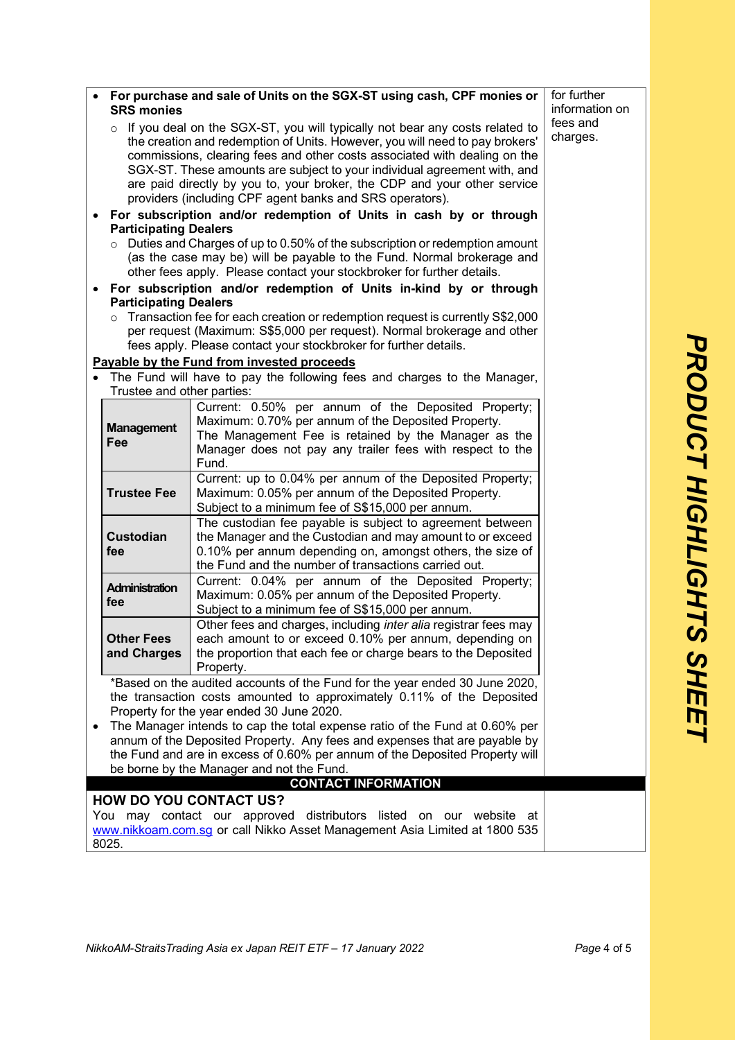|                                                                            | for further<br>• For purchase and sale of Units on the SGX-ST using cash, CPF monies or                                                                             |                                                                                                                                                                                                                                   |                      |
|----------------------------------------------------------------------------|---------------------------------------------------------------------------------------------------------------------------------------------------------------------|-----------------------------------------------------------------------------------------------------------------------------------------------------------------------------------------------------------------------------------|----------------------|
|                                                                            | <b>SRS monies</b>                                                                                                                                                   |                                                                                                                                                                                                                                   | information on       |
|                                                                            | $\circ$ If you deal on the SGX-ST, you will typically not bear any costs related to<br>the creation and redemption of Units. However, you will need to pay brokers' |                                                                                                                                                                                                                                   | fees and<br>charges. |
|                                                                            |                                                                                                                                                                     | commissions, clearing fees and other costs associated with dealing on the<br>SGX-ST. These amounts are subject to your individual agreement with, and<br>are paid directly by you to, your broker, the CDP and your other service |                      |
|                                                                            |                                                                                                                                                                     | providers (including CPF agent banks and SRS operators).                                                                                                                                                                          |                      |
| ٠                                                                          |                                                                                                                                                                     | For subscription and/or redemption of Units in cash by or through                                                                                                                                                                 |                      |
|                                                                            | <b>Participating Dealers</b>                                                                                                                                        | $\circ$ Duties and Charges of up to 0.50% of the subscription or redemption amount                                                                                                                                                |                      |
|                                                                            |                                                                                                                                                                     | (as the case may be) will be payable to the Fund. Normal brokerage and                                                                                                                                                            |                      |
|                                                                            |                                                                                                                                                                     | other fees apply. Please contact your stockbroker for further details.                                                                                                                                                            |                      |
|                                                                            | • For subscription and/or redemption of Units in-kind by or through                                                                                                 |                                                                                                                                                                                                                                   |                      |
|                                                                            | <b>Participating Dealers</b>                                                                                                                                        |                                                                                                                                                                                                                                   |                      |
|                                                                            | $\circ$                                                                                                                                                             | Transaction fee for each creation or redemption request is currently S\$2,000<br>per request (Maximum: S\$5,000 per request). Normal brokerage and other                                                                          |                      |
|                                                                            |                                                                                                                                                                     | fees apply. Please contact your stockbroker for further details.                                                                                                                                                                  |                      |
|                                                                            |                                                                                                                                                                     | Payable by the Fund from invested proceeds                                                                                                                                                                                        |                      |
|                                                                            |                                                                                                                                                                     | The Fund will have to pay the following fees and charges to the Manager,                                                                                                                                                          |                      |
|                                                                            | Trustee and other parties:                                                                                                                                          | Current: 0.50% per annum of the Deposited Property;                                                                                                                                                                               |                      |
|                                                                            |                                                                                                                                                                     | Maximum: 0.70% per annum of the Deposited Property.                                                                                                                                                                               |                      |
|                                                                            | <b>Management</b>                                                                                                                                                   | The Management Fee is retained by the Manager as the                                                                                                                                                                              |                      |
|                                                                            | Fee                                                                                                                                                                 | Manager does not pay any trailer fees with respect to the                                                                                                                                                                         |                      |
|                                                                            |                                                                                                                                                                     | Fund.                                                                                                                                                                                                                             |                      |
|                                                                            | <b>Trustee Fee</b>                                                                                                                                                  | Current: up to 0.04% per annum of the Deposited Property;<br>Maximum: 0.05% per annum of the Deposited Property.                                                                                                                  |                      |
|                                                                            |                                                                                                                                                                     | Subject to a minimum fee of S\$15,000 per annum.                                                                                                                                                                                  |                      |
|                                                                            |                                                                                                                                                                     | The custodian fee payable is subject to agreement between                                                                                                                                                                         |                      |
|                                                                            | <b>Custodian</b>                                                                                                                                                    | the Manager and the Custodian and may amount to or exceed                                                                                                                                                                         |                      |
|                                                                            | fee                                                                                                                                                                 | 0.10% per annum depending on, amongst others, the size of                                                                                                                                                                         |                      |
|                                                                            |                                                                                                                                                                     | the Fund and the number of transactions carried out.                                                                                                                                                                              |                      |
|                                                                            | Administration                                                                                                                                                      | Current: 0.04% per annum of the Deposited Property;<br>Maximum: 0.05% per annum of the Deposited Property.                                                                                                                        |                      |
|                                                                            | fee                                                                                                                                                                 | Subject to a minimum fee of S\$15,000 per annum.                                                                                                                                                                                  |                      |
|                                                                            |                                                                                                                                                                     | Other fees and charges, including <i>inter alia</i> registrar fees may                                                                                                                                                            |                      |
|                                                                            | <b>Other Fees</b>                                                                                                                                                   | each amount to or exceed 0.10% per annum, depending on                                                                                                                                                                            |                      |
|                                                                            | and Charges                                                                                                                                                         | the proportion that each fee or charge bears to the Deposited                                                                                                                                                                     |                      |
|                                                                            |                                                                                                                                                                     | Property.<br>*Based on the audited accounts of the Fund for the year ended 30 June 2020,                                                                                                                                          |                      |
|                                                                            | the transaction costs amounted to approximately 0.11% of the Deposited                                                                                              |                                                                                                                                                                                                                                   |                      |
| Property for the year ended 30 June 2020.                                  |                                                                                                                                                                     |                                                                                                                                                                                                                                   |                      |
|                                                                            |                                                                                                                                                                     | The Manager intends to cap the total expense ratio of the Fund at 0.60% per                                                                                                                                                       |                      |
| annum of the Deposited Property. Any fees and expenses that are payable by |                                                                                                                                                                     |                                                                                                                                                                                                                                   |                      |
|                                                                            | the Fund and are in excess of 0.60% per annum of the Deposited Property will<br>be borne by the Manager and not the Fund.                                           |                                                                                                                                                                                                                                   |                      |
|                                                                            |                                                                                                                                                                     | <b>CONTACT INFORMATION</b>                                                                                                                                                                                                        |                      |
| <b>HOW DO YOU CONTACT US?</b>                                              |                                                                                                                                                                     |                                                                                                                                                                                                                                   |                      |
|                                                                            | may contact our approved distributors listed on our website at<br>You                                                                                               |                                                                                                                                                                                                                                   |                      |
|                                                                            | www.nikkoam.com.sq or call Nikko Asset Management Asia Limited at 1800 535                                                                                          |                                                                                                                                                                                                                                   |                      |

8025.